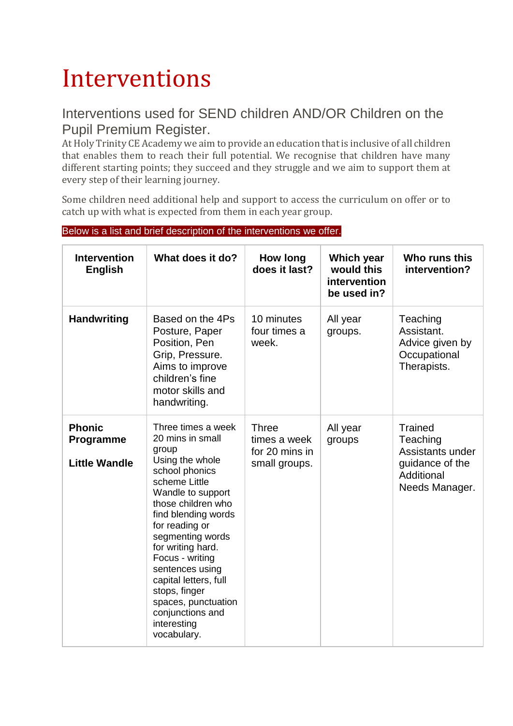## Interventions

## Interventions used for SEND children AND/OR Children on the Pupil Premium Register.

At Holy Trinity CE Academy we aim to provide an education that is inclusive of all children that enables them to reach their full potential. We recognise that children have many different starting points; they succeed and they struggle and we aim to support them at every step of their learning journey.

Some children need additional help and support to access the curriculum on offer or to catch up with what is expected from them in each year group.

| <b>Intervention</b><br><b>English</b>              | What does it do?                                                                                                                                                                                                                                                                                                                                                                            | <b>How long</b><br>does it last?                                | Which year<br>would this<br>intervention<br>be used in? | Who runs this<br>intervention?                                                                    |
|----------------------------------------------------|---------------------------------------------------------------------------------------------------------------------------------------------------------------------------------------------------------------------------------------------------------------------------------------------------------------------------------------------------------------------------------------------|-----------------------------------------------------------------|---------------------------------------------------------|---------------------------------------------------------------------------------------------------|
| <b>Handwriting</b>                                 | Based on the 4Ps<br>Posture, Paper<br>Position, Pen<br>Grip, Pressure.<br>Aims to improve<br>children's fine<br>motor skills and<br>handwriting.                                                                                                                                                                                                                                            | 10 minutes<br>four times a<br>week.                             | All year<br>groups.                                     | Teaching<br>Assistant.<br>Advice given by<br>Occupational<br>Therapists.                          |
| <b>Phonic</b><br>Programme<br><b>Little Wandle</b> | Three times a week<br>20 mins in small<br>group<br>Using the whole<br>school phonics<br>scheme Little<br>Wandle to support<br>those children who<br>find blending words<br>for reading or<br>segmenting words<br>for writing hard.<br>Focus - writing<br>sentences using<br>capital letters, full<br>stops, finger<br>spaces, punctuation<br>conjunctions and<br>interesting<br>vocabulary. | <b>Three</b><br>times a week<br>for 20 mins in<br>small groups. | All year<br>groups                                      | <b>Trained</b><br>Teaching<br>Assistants under<br>quidance of the<br>Additional<br>Needs Manager. |

## Below is a list and brief description of the interventions we offer.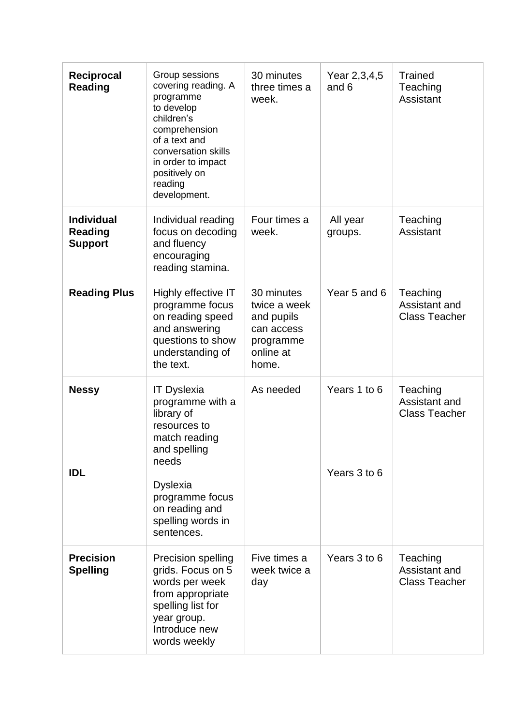| Reciprocal<br>Reading                                 | Group sessions<br>covering reading. A<br>programme<br>to develop<br>children's<br>comprehension<br>of a text and<br>conversation skills<br>in order to impact<br>positively on<br>reading<br>development. | 30 minutes<br>three times a<br>week.                                                      | Year 2,3,4,5<br>and 6        | <b>Trained</b><br>Teaching<br>Assistant           |
|-------------------------------------------------------|-----------------------------------------------------------------------------------------------------------------------------------------------------------------------------------------------------------|-------------------------------------------------------------------------------------------|------------------------------|---------------------------------------------------|
| <b>Individual</b><br><b>Reading</b><br><b>Support</b> | Individual reading<br>focus on decoding<br>and fluency<br>encouraging<br>reading stamina.                                                                                                                 | Four times a<br>week.                                                                     | All year<br>groups.          | Teaching<br>Assistant                             |
| <b>Reading Plus</b>                                   | Highly effective IT<br>programme focus<br>on reading speed<br>and answering<br>questions to show<br>understanding of<br>the text.                                                                         | 30 minutes<br>twice a week<br>and pupils<br>can access<br>programme<br>online at<br>home. | Year 5 and 6                 | Teaching<br>Assistant and<br><b>Class Teacher</b> |
| <b>Nessy</b><br><b>IDL</b>                            | <b>IT Dyslexia</b><br>programme with a<br>library of<br>resources to<br>match reading<br>and spelling<br>needs<br><b>Dyslexia</b><br>programme focus<br>on reading and<br>spelling words in<br>sentences. | As needed                                                                                 | Years 1 to 6<br>Years 3 to 6 | Teaching<br>Assistant and<br><b>Class Teacher</b> |
| <b>Precision</b><br><b>Spelling</b>                   | Precision spelling<br>grids. Focus on 5<br>words per week<br>from appropriate<br>spelling list for<br>year group.<br>Introduce new<br>words weekly                                                        | Five times a<br>week twice a<br>day                                                       | Years 3 to 6                 | Teaching<br>Assistant and<br><b>Class Teacher</b> |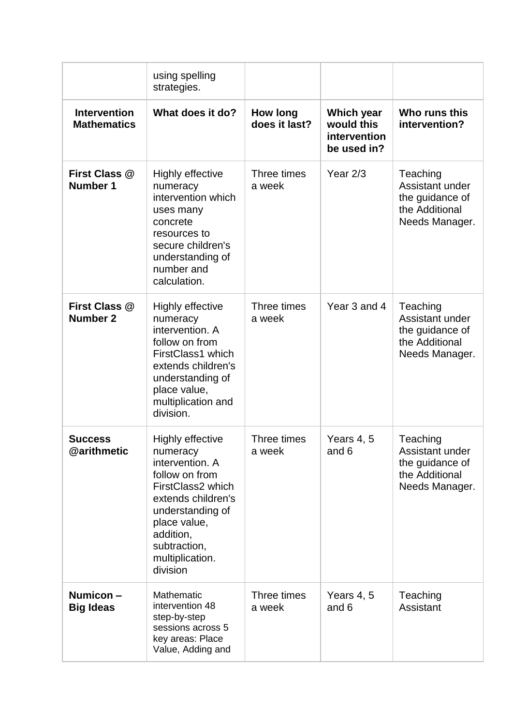|                                           | using spelling<br>strategies.                                                                                                                                                                                       |                                  |                                                         |                                                                                    |
|-------------------------------------------|---------------------------------------------------------------------------------------------------------------------------------------------------------------------------------------------------------------------|----------------------------------|---------------------------------------------------------|------------------------------------------------------------------------------------|
| <b>Intervention</b><br><b>Mathematics</b> | What does it do?                                                                                                                                                                                                    | <b>How long</b><br>does it last? | Which year<br>would this<br>intervention<br>be used in? | Who runs this<br>intervention?                                                     |
| First Class @<br>Number 1                 | <b>Highly effective</b><br>numeracy<br>intervention which<br>uses many<br>concrete<br>resources to<br>secure children's<br>understanding of<br>number and<br>calculation.                                           | Three times<br>a week            | Year $2/3$                                              | Teaching<br>Assistant under<br>the guidance of<br>the Additional<br>Needs Manager. |
| First Class @<br><b>Number 2</b>          | <b>Highly effective</b><br>numeracy<br>intervention. A<br>follow on from<br>FirstClass1 which<br>extends children's<br>understanding of<br>place value,<br>multiplication and<br>division.                          | Three times<br>a week            | Year 3 and 4                                            | Teaching<br>Assistant under<br>the guidance of<br>the Additional<br>Needs Manager. |
| <b>Success</b><br>@arithmetic             | <b>Highly effective</b><br>numeracy<br>intervention. A<br>follow on from<br>FirstClass2 which<br>extends children's<br>understanding of<br>place value,<br>addition,<br>subtraction,<br>multiplication.<br>division | Three times<br>a week            | Years 4, 5<br>and 6                                     | Teaching<br>Assistant under<br>the guidance of<br>the Additional<br>Needs Manager. |
| Numicon-<br><b>Big Ideas</b>              | Mathematic<br>intervention 48<br>step-by-step<br>sessions across 5<br>key areas: Place<br>Value, Adding and                                                                                                         | Three times<br>a week            | Years 4, 5<br>and 6                                     | Teaching<br>Assistant                                                              |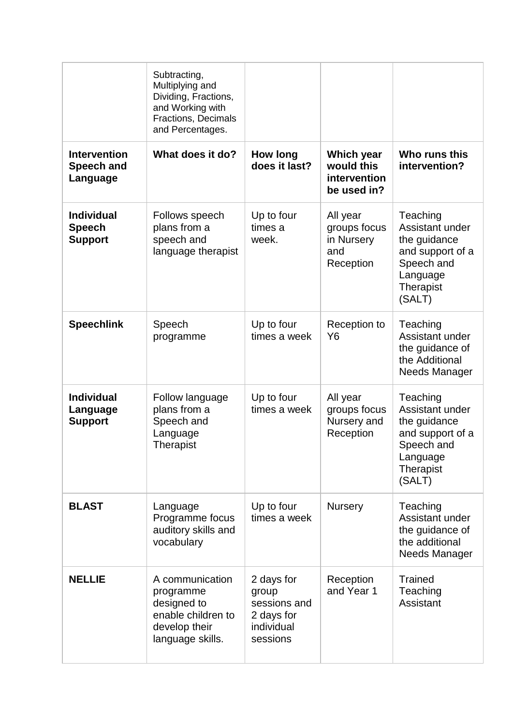|                                                      | Subtracting,<br>Multiplying and<br>Dividing, Fractions,<br>and Working with<br><b>Fractions, Decimals</b><br>and Percentages. |                                                                             |                                                            |                                                                                                                  |
|------------------------------------------------------|-------------------------------------------------------------------------------------------------------------------------------|-----------------------------------------------------------------------------|------------------------------------------------------------|------------------------------------------------------------------------------------------------------------------|
| <b>Intervention</b><br><b>Speech and</b><br>Language | What does it do?                                                                                                              | <b>How long</b><br>does it last?                                            | Which year<br>would this<br>intervention<br>be used in?    | Who runs this<br>intervention?                                                                                   |
| <b>Individual</b><br><b>Speech</b><br><b>Support</b> | Follows speech<br>plans from a<br>speech and<br>language therapist                                                            | Up to four<br>times a<br>week.                                              | All year<br>groups focus<br>in Nursery<br>and<br>Reception | Teaching<br>Assistant under<br>the guidance<br>and support of a<br>Speech and<br>Language<br>Therapist<br>(SALT) |
| <b>Speechlink</b>                                    | Speech<br>programme                                                                                                           | Up to four<br>times a week                                                  | Reception to<br>Y6                                         | Teaching<br>Assistant under<br>the guidance of<br>the Additional<br>Needs Manager                                |
| <b>Individual</b><br>Language<br><b>Support</b>      | Follow language<br>plans from a<br>Speech and<br>Language<br>Therapist                                                        | Up to four<br>times a week                                                  | All year<br>groups focus<br>Nursery and<br>Reception       | Teaching<br>Assistant under<br>the guidance<br>and support of a<br>Speech and<br>Language<br>Therapist<br>(SALT) |
| <b>BLAST</b>                                         | Language<br>Programme focus<br>auditory skills and<br>vocabulary                                                              | Up to four<br>times a week                                                  | Nursery                                                    | Teaching<br>Assistant under<br>the guidance of<br>the additional<br>Needs Manager                                |
| <b>NELLIE</b>                                        | A communication<br>programme<br>designed to<br>enable children to<br>develop their<br>language skills.                        | 2 days for<br>group<br>sessions and<br>2 days for<br>individual<br>sessions | Reception<br>and Year 1                                    | <b>Trained</b><br>Teaching<br>Assistant                                                                          |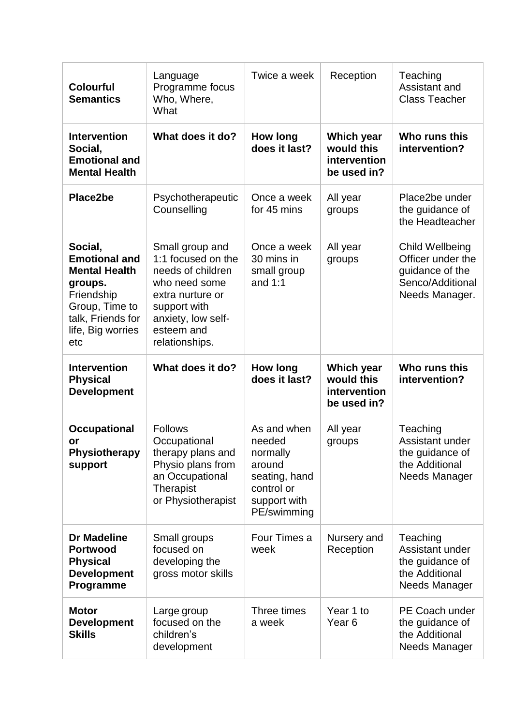| <b>Colourful</b><br><b>Semantics</b>                                                                                                                | Language<br>Programme focus<br>Who, Where,<br>What                                                                                                                    | Twice a week                                                                                              | Reception                                               | Teaching<br>Assistant and<br><b>Class Teacher</b>                                             |
|-----------------------------------------------------------------------------------------------------------------------------------------------------|-----------------------------------------------------------------------------------------------------------------------------------------------------------------------|-----------------------------------------------------------------------------------------------------------|---------------------------------------------------------|-----------------------------------------------------------------------------------------------|
| <b>Intervention</b><br>Social,<br><b>Emotional and</b><br><b>Mental Health</b>                                                                      | What does it do?                                                                                                                                                      | <b>How long</b><br>does it last?                                                                          | Which year<br>would this<br>intervention<br>be used in? | Who runs this<br>intervention?                                                                |
| Place2be                                                                                                                                            | Psychotherapeutic<br>Counselling                                                                                                                                      | Once a week<br>for 45 mins                                                                                | All year<br>groups                                      | Place2be under<br>the guidance of<br>the Headteacher                                          |
| Social,<br><b>Emotional and</b><br><b>Mental Health</b><br>groups.<br>Friendship<br>Group, Time to<br>talk, Friends for<br>life, Big worries<br>etc | Small group and<br>1:1 focused on the<br>needs of children<br>who need some<br>extra nurture or<br>support with<br>anxiety, low self-<br>esteem and<br>relationships. | Once a week<br>30 mins in<br>small group<br>and $1:1$                                                     | All year<br>groups                                      | Child Wellbeing<br>Officer under the<br>guidance of the<br>Senco/Additional<br>Needs Manager. |
| <b>Intervention</b><br><b>Physical</b><br><b>Development</b>                                                                                        | What does it do?                                                                                                                                                      | <b>How long</b><br>does it last?                                                                          | Which year<br>would this<br>intervention<br>be used in? | Who runs this<br>intervention?                                                                |
| <b>Occupational</b><br>or<br><b>Physiotherapy</b><br>support                                                                                        | <b>Follows</b><br>Occupational<br>therapy plans and<br>Physio plans from<br>an Occupational<br>Therapist<br>or Physiotherapist                                        | As and when<br>needed<br>normally<br>around<br>seating, hand<br>control or<br>support with<br>PE/swimming | All year<br>groups                                      | Teaching<br>Assistant under<br>the guidance of<br>the Additional<br>Needs Manager             |
| <b>Dr Madeline</b><br><b>Portwood</b><br><b>Physical</b><br><b>Development</b><br>Programme                                                         | Small groups<br>focused on<br>developing the<br>gross motor skills                                                                                                    | Four Times a<br>week                                                                                      | Nursery and<br>Reception                                | Teaching<br>Assistant under<br>the guidance of<br>the Additional<br>Needs Manager             |
| <b>Motor</b><br><b>Development</b><br><b>Skills</b>                                                                                                 | Large group<br>focused on the<br>children's<br>development                                                                                                            | Three times<br>a week                                                                                     | Year 1 to<br>Year <sub>6</sub>                          | PE Coach under<br>the guidance of<br>the Additional<br>Needs Manager                          |